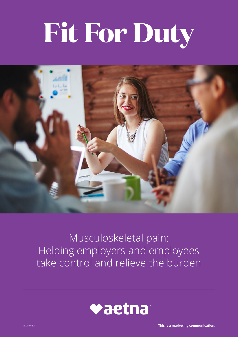# **Fit For Duty**



### Musculoskeletal pain: Helping employers and employees take control and relieve the burden

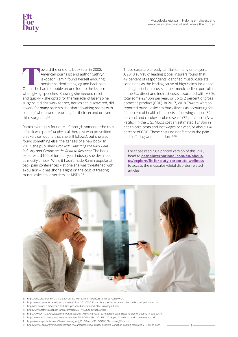**The and of a book tour in 2008,**<br>
American journalist and author Cathryn<br>
Jakobson Ramin found herself enduring<br>
persistent, debilitating leg and back pain.<br>
Often, she had to hobble on one foot to the lectern American journalist and author Cathryn Jakobson Ramin found herself enduring persistent, debilitating leg and back pain. when giving speeches. Knowing she needed relief – and quickly – she opted for the 'miracle' of laser spine surgery. It didn't work for her, nor, as she discovered, did it work for many patients she shared waiting rooms with, some of whom were returning for their second or even third surgeries.1,2

Ramin eventually found relief through someone she calls a "back whisperer" (a physical therapist who prescribed an exercise routine that she still follows), but she also found something else: the genesis of a new book. In 2017, she published *Crooked: Outwitting the Back Pain Industry and Getting on the Road to Recovery.* The book explores a \$100-billion-per-year industry she describes as mostly a hoax. While it hasn't made Ramin popular at back pain conferences – at one she was threatened with expulsion – it has shone a light on the cost of treating musculoskeletal disorders, or MSDs.3,4

Those costs are already familiar to many employers. A 2018 survey of leading global insurers found that 49 percent of respondents identified musculoskeletal conditions as the leading cause of high claims incidence and highest claims costs in their medical client portfolios. In the EU, direct and indirect costs associated with MSDs total some €240bn per year, or up to 2 percent of gross domestic product (GDP). In 2017, Willis Towers Watson reported musculoskeletal/back illness as accounting for 44 percent of health claim costs – following cancer (82 percent) and cardiovascular disease (72 percent) in Asia Pacific.<sup>5</sup> In the U.S., MSDs cost an estimated \$213bn in health care costs and lost wages per year, or about 1.4 percent of GDP. Those costs do not factor in the pain and suffering workers endure.<sup>6,7,8</sup>

For those reading a printed version of this PDF, head to **[aetnainternational.com/en/about](http://aetnainternational.com/en/about-us/explore/fit-for-duty-corporate-wellness)[us/explore/fit-for-duty-corporate-wellness](http://aetnainternational.com/en/about-us/explore/fit-for-duty-corporate-wellness)** to access the musculoskeletal disorder related articles.



- 1: <https://tincture.io/oh-my-aching-back-our-5q-with-cathryn-jakobson-ramin-bb7cad24940c>
- 2: <https://www.centerforhealthjournalism.org/blogs/2012/01/24/qa-cathryn-jakobson-ramin-billion-dollar-back-pain-industry>
- 3: <https://qz.com/1010259/the-100-billion-per-year-back-pain-industry-is-mostly-a-hoax/>
- 4: <https://www.cathrynjakobsonramin.com/blog/2017/10/6/telegraph-article>
- 5: <https://www.willistowerswatson.com/en/press/2017/08/rising-health-care-benefit-costs-show-no-sign-of-abating-in-asia-pacific>
- 6: <https://www.willistowerswatson.com/-/media/WTW/PDF/Insights/2018/11/2019-global-medical-trends-survey-report.pdf>
- 7: [https://www.sip-platform.eu/files/structure\\_until\\_2016/Events/2016/SIP%20Factsheet\\_Work.pdf](https://www.sip-platform.eu/files/structure_until_2016/Events/2016/SIP%20Factsheet_Work.pdf)
- 8: <https://www.usbji.org/news/releases/one-two-americans-have-musculoskeletal-condition-costing-estimated-213-billion-each> 2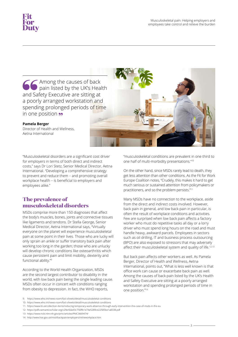

Among the causes of back pain listed by the UK's Health and Safety Executive are sitting at a poorly arranged workstation and spending prolonged periods of time in one position **99** 

#### **Pamela Berger**

Director of Health and Wellness, Aetna International

"Musculoskeletal disorders are a significant cost driver for employers in terms of both direct and indirect costs," says Dr Lori Stetz, Senior Medical Director, Aetna International. "Developing a comprehensive strategy to prevent and reduce them – and promoting overall workplace health – is beneficial to employers and employees alike."

#### **The prevalence of musculoskeletal disorders**

MSDs comprise more than 150 diagnoses that affect the body's muscles, bones, joints and connective tissues like ligaments and tendons. Dr Stella George, Senior Medical Director, Aetna International says, "Virtually everyone on the planet will experience musculoskeletal pain at some point in their lives. Those who are lucky will only sprain an ankle or suffer transitory back pain after working too long in the garden; those who are unlucky will develop chronic conditions like osteoarthritis which cause persistent pain and limit mobility, dexterity and functional ability."9

According to the World Health Organization, MSDs are the second largest contributor to disability in the world, with low back pain being the single leading cause. MSDs often occur in concert with conditions ranging from obesity to depression. In fact, the WHO reports,

9: <https://www.who.int/news-room/fact-sheets/detail/musculoskeletal-conditions>

- 11: <https://www.bl.uk/collection-items/reducing-temporary-work-absence-through-early-intervention-the-case-of-msds-in-the-eu>
- 12: <https://pdfs.semanticscholar.org/c29e/6da93c756ffb1e74e5289ce22585be1a8338.pdf>
- 13: <https://www.ncbi.nlm.nih.gov/pmc/articles/PMC3669474/>
- 14: <http://www.hse.gov.uk/msd/backpain/employers/intheworkplace.htm>

"musculoskeletal conditions are prevalent in one third to one half of multi-morbidity presentations."10

On the other hand, since MSDs rarely lead to death, they get less attention than other conditions. As the Fit for Work Europe Coalition notes, "Crudely, this makes it hard to get much serious or sustained attention from policymakers or practitioners, and so the problem persists."11

Many MSDs have no connection to the workplace, aside from the direct and indirect costs involved. However, back pain in general, and low back pain in particular, is often the result of workplace conditions and activities. Few are surprised when low back pain affects a factory worker who must do repetitive tasks all day or a lorry driver who must spend long hours on the road and must handle heavy, awkward parcels. Employees in sectors such as oil drilling, IT and business process outsourcing (BPO) are also exposed to stressors that may adversely affect their musculoskeletal system and quality of life.<sup>12,13</sup>

But back pain affects other workers as well. As Pamela Berger, Director of Health and Wellness, Aetna International, points out, "What is less well known is that office work can cause or exacerbate back pain as well. Among the causes of back pain listed by the UK's Health and Safety Executive are sitting at a poorly arranged workstation and spending prolonged periods of time in one position."14

<sup>10:</sup> <https://www.who.int/news-room/fact-sheets/detail/musculoskeletal-conditions>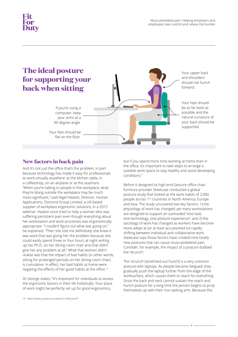

#### **New factors in back pain**

And it's not just the office that's the problem, in part because technology has made it easy for professionals to work virtually anywhere: at the kitchen table, in a coffeeshop, on an airplane or at the seashore. "When you're talking to people in the workplace, what they're doing outside the workplace may be much more significant," said Nigel Heaton, Director, Human Applications, Osmond Group Limited, a UK-based supplier of workplace ergonomic solutions, in a 2015 webinar. Heaton once tried to help a woman who was suffering persistent pain even though everything about her workstation and work processes was ergonomically appropriate. "I couldn't figure out what was going on," he explained. "Then she told me definitively she knew it was work that was giving her the problem because she could easily spend three or four hours at night writing up her Ph.D. on her dining room chair and that didn't give her any problem at all." What that woman didn't realise was that the impact of bad habits (in other words, sitting for prolonged periods on her dining room chair) is cumulative. In effect, her bad habits at home were negating the effects of her good habits at the office.<sup>15</sup>

Dr George states, "It's important for individuals to assess the ergonomic factors in their life holistically. Your place of work might be perfectly set up for good ergonomics,

15: <https://www.youtube.com/watch?v=cPJCJUv4z7Y>

but if you spend more time working at home than in the office, it's important to take steps to arrange a suitable work space to stay healthy and avoid developing conditions."

Before it designed its high-end Gesture office chair, furniture provider Steelcase conducted a global posture study that looked at the work habits of 2,000 people across 11 countries in North America, Europe and Asia. The study uncovered two key factors: 1) the physiology of work has changed, yet many workstations are designed to support an outmoded "one-task, one-technology, one-posture experience"; and 2) the sociology of work has changed as workers have become more adept at (or at least accustomed to) rapidly shifting between individual and collaborative work. Steelcase says those factors have created nine totally new postures that can cause musculoskeletal pain. Consider, for example, the impact of a posture dubbed the 'strunch':

The 'strunch' (stretched-out hunch) is a very common posture with laptops. As people become fatigued, they gradually push the laptop further from the edge of the worksurface, which causes them to reach for everything. Since the back and neck cannot sustain the reach and hunch posture for a long time the person begins to prop themselves up with their non-tasking arm. Because this

4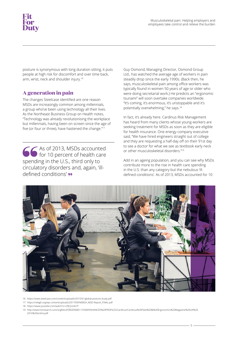## **Duty**

posture is synonymous with long duration sitting, it puts people at high risk for discomfort and over time back, arm, wrist, neck and shoulder injury.16

#### **A generation in pain**

The changes Steelcase identified are one reason MSDs are increasingly common among millennials, a group who've been using technology all their lives. As the Northeast Business Group on Health notes, "Technology was already revolutionising the workplace but millennials, having been on screen since the age of five (or four or three), have hastened the change."<sup>17</sup>

As of 2013, MSDs accounted for 10 percent of health care spending in the U.S., third only to circulatory disorders and, again, 'illdefined conditions'

Guy Osmond, Managing Director, Osmond Group Ltd., has watched the average age of workers in pain steadily drop since the early 1990s. (Back then, he says, musculoskeletal pain among office workers was typically found in women 50 years of age or older who were doing secretarial work.) He predicts an "ergonomic tsunami" will soon overtake companies worldwide. "It's coming, it's enormous, it's unstoppable and it's potentially overwhelming," he says.18

In fact, it's already here. Cardinus Risk Management has heard from many clients whose young workers are seeking treatment for MSDs as soon as they are eligible for health insurance. One energy company executive said, "We have hired engineers straight out of college and they are requesting a half-day off on their 91st day to see a doctor for what we see as textbook early neck or other musculoskeletal disorders."19

Add in an ageing population, and you can see why MSDs contribute more to the rise in health care spending in the U.S. than any category but the nebulous 'illdefined conditions'. As of 2013, MSDs accounted for 10



- 16: <https://www.steelcase.com/content/uploads/2015/01/global-posture-study.pdf>
- 17: [https://nebgh.org/wp-content/uploads/2017/09/NEBGH\\_MSD-Report\\_FINAL.pdf](https://nebgh.org/wp-content/uploads/2017/09/NEBGH_MSD-Report_FINAL.pdf)
- 18: <https://www.youtube.com/watch?v=cPJCJUv4z7Y>
- 19: [http://www.hsmsearch.com/orgfiles/ZORGF000011/HSM/ENHANCED%20PROFILES/Cardinus/Cardinus%20Fleet%20&%20Ergonomics%20Magazine%20UK%20](http://www.hsmsearch.com/orgfiles/ZORGF000011/HSM/ENHANCED%20PROFILES/Cardinus/Cardinus%20Fleet%20&%20Ergonomics%20Magazine%20UK%202016%20online.pdf) 2016%20online.pdf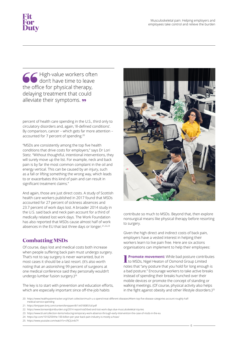the office for physical therapy, High-value workers often don't have time to leave delaying treatment that could alleviate their symptoms. **99** 

percent of health care spending in the U.S., third only to circulatory disorders and, again, 'ill-defined conditions'. By comparison, cancer – which gets far more attention – accounted for 7 percent of spending.20

"MSDs are consistently among the top five health conditions that drive costs for employers," says Dr Lori Stetz. "Without thoughtful, intentional interventions, they will surely move up the list. For example, neck and back pain is by far the most common complaint in the oil and energy vertical. This can be caused by an injury, such as a fall or lifting something the wrong way, which leads to or exacerbates this kind of pain and can result in significant treatment claims."

And again, those are just direct costs. A study of Scottish health care workers published in 2017 found that MSDs accounted for 27 percent of sickness absences and 23.7 percent of work days lost. A broader 2014 study in the U.S. said back and neck pain account for a third of medically related lost work days. The Work Foundation has also reported that MSDs cause almost half of work absences in the EU that last three days or longer.<sup>21,22,23</sup>

#### **Combatting MSDs**

Of course, days lost and medical costs both increase when people suffering back pain must undergo surgery. That's not to say surgery is never warranted, but in most cases it should be a last resort. (It's also worth noting that an astonishing 99 percent of surgeons at one medical conference said they personally wouldn't undergo lumbar fusion surgery.)<sup>24</sup>

The key is to start with prevention and education efforts, which are especially important since off-the-job habits



contribute so much to MSDs. Beyond that, then explore nonsurgical means like physical therapy before resorting to surgery.

Given the high direct and indirect costs of back pain, employers have a vested interest in helping their workers learn to live pain free. Here are six actions organisations can implement to help their employees:

**1 Promote movement:** While bad posture contributes to MSDs, Nigel Heaton of Osmond Group Limited notes that "any posture that you hold for long enough is a bad posture." Encourage workers to take active breaks instead of spending their breaks hunched over their mobile devices or promote the concept of standing or walking meetings. (Of course, physical activity also helps in the fight against obesity and other lifestyle disorders.)<sup>25</sup>

6

20: [https://www.healthsystemtracker.org/chart-collection/much-u-s-spend-treat-different-diseases/#item-top-five-disease-categories-account-roughly-half](https://www.healthsystemtracker.org/chart-collection/much-u-s-spend-treat-different-diseases/#item-top-five-disease-categories-account-roughly-halfmedical-)[medical-service-spending](https://www.healthsystemtracker.org/chart-collection/much-u-s-spend-treat-different-diseases/#item-top-five-disease-categories-account-roughly-halfmedical-)

21: <https://bmjopen.bmj.com/content/bmjopen/8/1/e018085.full.pdf>

- 23: <https://www.bl.uk/collection-items/reducing-temporary-work-absence-through-early-intervention-the-case-of-msds-in-the-eu>
- 24: <https://qz.com/1010259/the-100-billion-per-year-back-pain-industry-is-mostly-a-hoax/>
- 25: <https://www.youtube.com/watch?v=cPJCJUv4z7Y>

<sup>22:</sup> <https://www.boneandjointburden.org/2014-report/via5/bed-and-lost-work-days-due-musculoskeletal-injuries>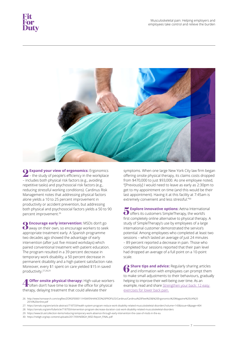

**2Expand your view of ergonomics:** Ergonomics – the study of people's efficiency in the workplace – includes both physical risk factors (e.g., avoiding repetitive tasks) and psychosocial risk factors (e.g., reducing stressful working conditions). Cardinus Risk Management notes that addressing physical factors alone yields a 10 to 25 percent improvement in productivity or accident prevention, but addressing both physical and psychosocial factors yields a 50 to 90 percent improvement.26

**3Encourage early intervention:** MSDs don't go **a** away on their own, so encourage workers to seek appropriate treatment early. A Spanish programme two decades ago showed the advantage of early intervention (after just five missed workdays) which paired conventional treatment with patient education. The program resulted in a 39 percent decrease in temporary work disability, a 50 percent decrease in permanent disability and a high patient satisfaction rate. Moreover, every \$1 spent on care yielded \$15 in saved productivity.27,28,29

**4 Offer onsite physical therapy:** High-value workers **dom** to leave the office for physical therapy, delaying treatment that could alleviate their

symptoms. When one large New York City law firm began offering onsite physical therapy, its claims costs dropped from \$470,000 to just \$93,000. As one employee noted, "[Previously] I would need to leave as early as 2:30pm to get to my appointment on time (and this would be their last appointment). Having it at this facility at 7:45am is extremely convenient and less stressful."<sup>30</sup>

**5Explore innovative options:** Aetna International offers its customers SimpleTherapy, the world's first completely online alternative to physical therapy. A study of SimpleTherapy's use by employees of a large international customer demonstrated the service's potential. Among employees who completed at least two sessions – which lasted an average of just 24 minutes – 89 percent reported a decrease in pain. Those who completed four sessions reported that their pain level had dropped an average of a full point on a 10-point scale.

 [exercises for lower back pain.](www.aetnainternational.com/en/about-us/explore/fit-for-duty-corporate-wellness/ strengthen-your-back-12-easy-exercises-for-lower-back-pain.html) **6** Share tips and advice: Regularly sharing articles and information with employees can prompt them to make small adjustments to their behaviours, gradually helping to improve their well-being over time. As an example, read and share Strengthen your back: 12 easy

- 
- 29: <https://www.bl.uk/collection-items/reducing-temporary-work-absence-through-early-intervention-the-case-of-msds-in-the-eu>
- 30: [https://nebgh.org/wp-content/uploads/2017/09/NEBGH\\_MSD-Report\\_FINAL.pdf](https://nebgh.org/wp-content/uploads/2017/09/NEBGH_MSD-Report_FINAL.pdf)

<sup>26:</sup> [http://www.hsmsearch.com/orgfiles/ZORGF000011/HSM/ENHANCED%20PROFILES/Cardinus/Cardinus%20Fleet%20&%20Ergonomics%20Magazine%20UK%20](http://www.hsmsearch.com/orgfiles/ZORGF000011/HSM/ENHANCED%20PROFILES/Cardinus/Cardinus%20Fleet%20&%20Ergonomics%20Magazine%20UK%202016%20online.pdf) [2016%20online.pdf](http://www.hsmsearch.com/orgfiles/ZORGF000011/HSM/ENHANCED%20PROFILES/Cardinus/Cardinus%20Fleet%20&%20Ergonomics%20Magazine%20UK%202016%20online.pdf)

<sup>27:</sup> <https://annals.org/aim/article-abstract/718733/health-system-program-reduce-work-disability-related-musculoskeletal-disorders?volume=143&issue=6&page=404> 28: <https://annals.org/aim/fullarticle/718750/intervention-program-decrease-duration-cost-work-disability-related-musculoskeletal-disorders>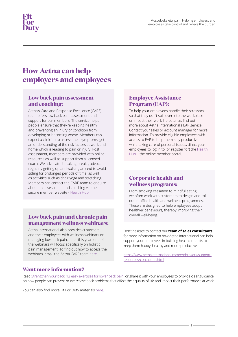#### **How Aetna can help employers and employees**

#### **Low back pain assessment and coaching:**

Aetna's Care and Response Excellence (CARE) team offers low back pain assessment and support for our members. The service helps people ensure that they're keeping healthy and preventing an injury or condition from developing or becoming worse. Members can expect a clinician to assess their symptoms, get an understanding of the risk factors at work and home which is leading to pain or injury. Post assessment, members are provided with online resources as well as support from a licensed coach. We advocate for taking breaks, advocate regularly getting up and walking around to avoid sitting for prolonged periods of time, as well as activities such as chair yoga and stretching. Members can contact the CARE team to enquire about an assessment and coaching via their secure member website - [Health Hub.](https://www.aetnainternational.com/members/login-page/cx/log-in.do)

#### **Low back pain and chronic pain management wellness webinars:**

Aetna International also provides customers and their employees with wellness webinars on managing low back pain. Later this year, one of the webinars will focus specifically on holistic pain management. To find out how to access the webinars, email the Aetna CARE team [here.](https://www.aetnainternational.com/members/login-page/cx/log-in.do) 

#### **Employee Assistance Program (EAP):**

To help your employees handle their stressors so that they don't spill over into the workplace or impact their work-life balance, find out more about Aetna International's EAP service. Contact your sales or account manager for more information. To provide eligible employees with access to EAP to help them stay productive while taking care of personal issues, direct your employees to log in to (or register for) the Health [Hub](https://www.aetnainternational.com/members/login-page/cx/log-in.do) - the online member portal.

#### **Corporate health and wellness programs:**

From smoking cessation to mindful eating, we often work with customers to design and roll out in-office health and wellness programmes. These are designed to help employees adopt healthier behaviours, thereby improving their overall well-being.

Don't hesitate to contact our **team of sales consultants** for more information on how Aetna International can help support your employees in building healthier habits to keep them happy, healthy and more productive.

[https://www.aetnainternational.com/en/brokers/support](https://www.aetnainternational.com/en/brokers/support-resources/contact-us.html)[resources/contact-us.html](https://www.aetnainternational.com/en/brokers/support-resources/contact-us.html) 

#### **Want more information?**

Read [Strengthen your back: 12 easy exercises for lower back pain](www.aetnainternational.com/en/about-us/explore/fit-for-duty-corporate-wellness/ strengthen-your-back-12-easy-exercises-for-lower-back-pain.html) or share it with your employees to provide clear guidance on how people can prevent or overcome back problems that affect their quality of life and impact their performance at work.

You can also find more Fit For Duty materials [here.](https://www.aetnainternational.com/en/about-us/explore/fit-for-duty-corporate-wellness.html)